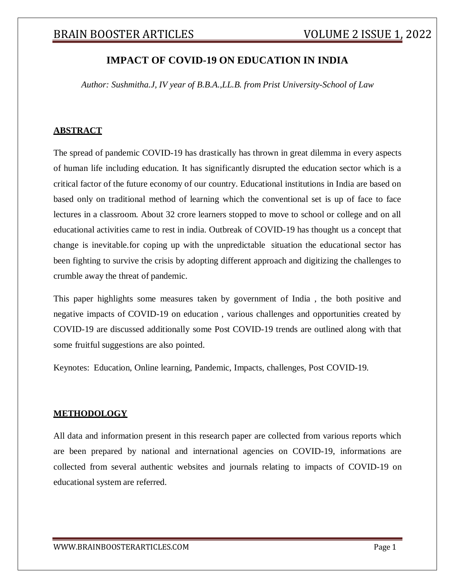## **IMPACT OF COVID-19 ON EDUCATION IN INDIA**

*Author: Sushmitha.J, IV year of B.B.A.,LL.B. from Prist University-School of Law*

#### **ABSTRACT**

The spread of pandemic COVID-19 has drastically has thrown in great dilemma in every aspects of human life including education. It has significantly disrupted the education sector which is a critical factor of the future economy of our country. Educational institutions in India are based on based only on traditional method of learning which the conventional set is up of face to face lectures in a classroom. About 32 crore learners stopped to move to school or college and on all educational activities came to rest in india. Outbreak of COVID-19 has thought us a concept that change is inevitable.for coping up with the unpredictable situation the educational sector has been fighting to survive the crisis by adopting different approach and digitizing the challenges to crumble away the threat of pandemic.

This paper highlights some measures taken by government of India , the both positive and negative impacts of COVID-19 on education , various challenges and opportunities created by COVID-19 are discussed additionally some Post COVID-19 trends are outlined along with that some fruitful suggestions are also pointed.

Keynotes: Education, Online learning, Pandemic, Impacts, challenges, Post COVID-19.

#### **METHODOLOGY**

All data and information present in this research paper are collected from various reports which are been prepared by national and international agencies on COVID-19, informations are collected from several authentic websites and journals relating to impacts of COVID-19 on educational system are referred.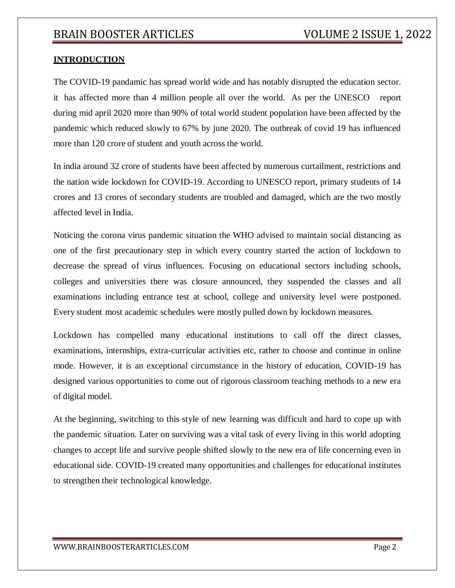#### **INTRODUCTION**

The COVID-19 pandamic has spread world wide and has notably disrupted the education sector. it has affected more than 4 million people all over the world. As per the UNESCO report during mid april 2020 more than 90% of total world student population have been affected by the pandemic which reduced slowly to 67% by june 2020. The outbreak of covid 19 has influenced more than 120 crore of student and youth across the world.

In india around 32 crore of students have been affected by numerous curtailment, restrictions and the nation wide lockdown for COVID-19. According to UNESCO report, primary students of 14 crores and 13 crores of secondary students are troubled and damaged, which are the two mostly affected level in India.

Noticing the corona virus pandemic situation the WHO advised to maintain social distancing as one of the first precautionary step in which every country started the action of lockdown to decrease the spread of virus influences. Focusing on educational sectors including schools, colleges and universities there was closure announced, they suspended the classes and all examinations including entrance test at school, college and university level were postponed. Every student most academic schedules were mostly pulled down by lockdown measures.

Lockdown has compelled many educational institutions to call off the direct classes, examinations, internships, extra-curricular activities etc, rather to choose and continue in online mode. However, it is an exceptional circumstance in the history of education, COVID-19 has designed various opportunities to come out of rigorous classroom teaching methods to a new era of digital model.

At the beginning, switching to this style of new learning was difficult and hard to cope up with the pandemic situation. Later on surviving was a vital task of every living in this world adopting changes to accept life and survive people shifted slowly to the new era of life concerning even in educational side. COVID-19 created many opportunities and challenges for educational institutes to strengthen their technological knowledge.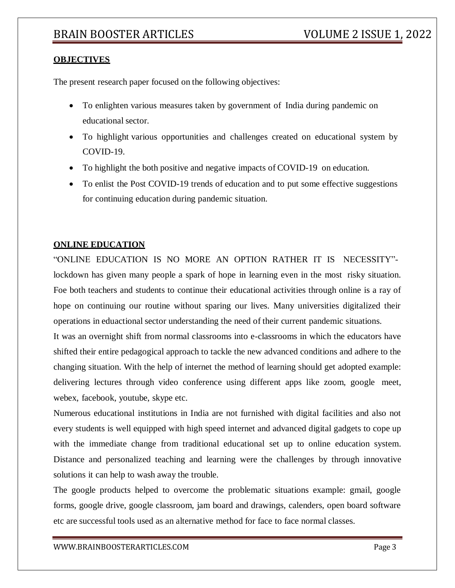#### **OBJECTIVES**

The present research paper focused on the following objectives:

- To enlighten various measures taken by government of India during pandemic on educational sector.
- To highlight various opportunities and challenges created on educational system by COVID-19.
- To highlight the both positive and negative impacts of COVID-19 on education.
- To enlist the Post COVID-19 trends of education and to put some effective suggestions for continuing education during pandemic situation.

#### **ONLINE EDUCATION**

"ONLINE EDUCATION IS NO MORE AN OPTION RATHER IT IS NECESSITY" lockdown has given many people a spark of hope in learning even in the most risky situation. Foe both teachers and students to continue their educational activities through online is a ray of hope on continuing our routine without sparing our lives. Many universities digitalized their operations in eduactional sector understanding the need of their current pandemic situations.

It was an overnight shift from normal classrooms into e-classrooms in which the educators have shifted their entire pedagogical approach to tackle the new advanced conditions and adhere to the changing situation. With the help of internet the method of learning should get adopted example: delivering lectures through video conference using different apps like zoom, google meet, webex, facebook, youtube, skype etc.

Numerous educational institutions in India are not furnished with digital facilities and also not every students is well equipped with high speed internet and advanced digital gadgets to cope up with the immediate change from traditional educational set up to online education system. Distance and personalized teaching and learning were the challenges by through innovative solutions it can help to wash away the trouble.

The google products helped to overcome the problematic situations example: gmail, google forms, google drive, google classroom, jam board and drawings, calenders, open board software etc are successful tools used as an alternative method for face to face normal classes.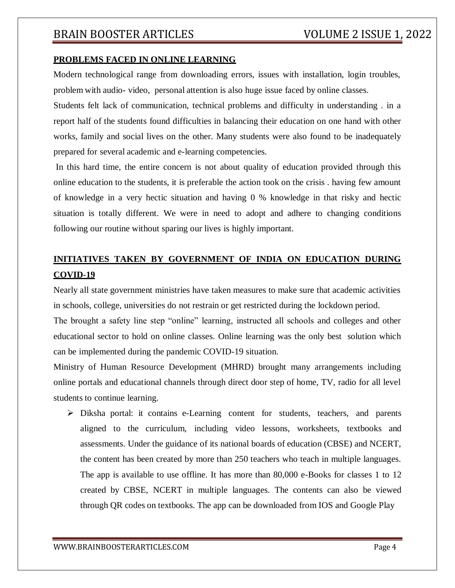#### **PROBLEMS FACED IN ONLINE LEARNING**

Modern technological range from downloading errors, issues with installation, login troubles, problem with audio- video, personal attention is also huge issue faced by online classes.

Students felt lack of communication, technical problems and difficulty in understanding . in a report half of the students found difficulties in balancing their education on one hand with other works, family and social lives on the other. Many students were also found to be inadequately prepared for several academic and e-learning competencies.

In this hard time, the entire concern is not about quality of education provided through this online education to the students, it is preferable the action took on the crisis . having few amount of knowledge in a very hectic situation and having 0 % knowledge in that risky and hectic situation is totally different. We were in need to adopt and adhere to changing conditions following our routine without sparing our lives is highly important.

# **INITIATIVES TAKEN BY GOVERNMENT OF INDIA ON EDUCATION DURING COVID-19**

Nearly all state government ministries have taken measures to make sure that academic activities in schools, college, universities do not restrain or get restricted during the lockdown period.

The brought a safety line step "online" learning, instructed all schools and colleges and other educational sector to hold on online classes. Online learning was the only best solution which can be implemented during the pandemic COVID-19 situation.

Ministry of Human Resource Development (MHRD) brought many arrangements including online portals and educational channels through direct door step of home, TV, radio for all level students to continue learning.

 $\triangleright$  Diksha portal: it contains e-Learning content for students, teachers, and parents aligned to the curriculum, including video lessons, worksheets, textbooks and assessments. Under the guidance of its national boards of education (CBSE) and NCERT, the content has been created by more than 250 teachers who teach in multiple languages. The app is available to use offline. It has more than 80,000 e-Books for classes 1 to 12 created by CBSE, NCERT in multiple languages. The contents can also be viewed through QR codes on textbooks. The app can be downloaded from IOS and Google Play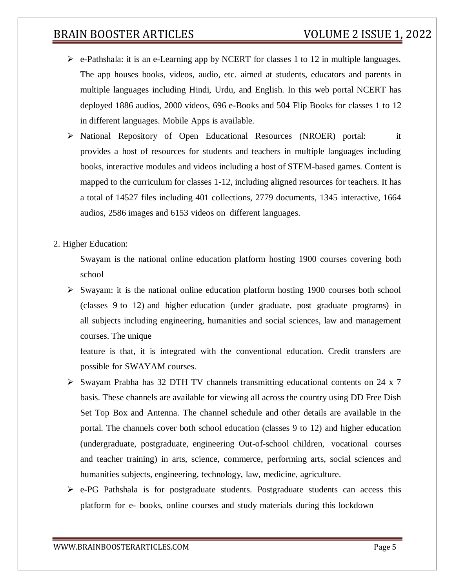- $\triangleright$  e-Pathshala: it is an e-Learning app by NCERT for classes 1 to 12 in multiple languages. The app houses books, videos, audio, etc. aimed at students, educators and parents in multiple languages including Hindi, Urdu, and English. In this web portal NCERT has deployed 1886 audios, 2000 videos, 696 e-Books and 504 Flip Books for classes 1 to 12 in different languages. Mobile Apps is available.
- $\triangleright$  National Repository of Open Educational Resources (NROER) portal: it provides a host of resources for students and teachers in multiple languages including books, interactive modules and videos including a host of STEM-based games. Content is mapped to the curriculum for classes 1-12, including aligned resources for teachers. It has a total of 14527 files including 401 collections, 2779 documents, 1345 interactive, 1664 audios, 2586 images and 6153 videos on different languages.
- 2. Higher Education:

Swayam is the national online education platform hosting 1900 courses covering both school

 $\triangleright$  Swayam: it is the national online education platform hosting 1900 courses both school (classes 9 to 12) and higher education (under graduate, post graduate programs) in all subjects including engineering, humanities and social sciences, law and management courses. The unique

feature is that, it is integrated with the conventional education. Credit transfers are possible for SWAYAM courses.

- Swayam Prabha has 32 DTH TV channels transmitting educational contents on 24 x 7 basis. These channels are available for viewing all across the country using DD Free Dish Set Top Box and Antenna. The channel schedule and other details are available in the portal. The channels cover both school education (classes 9 to 12) and higher education (undergraduate, postgraduate, engineering Out-of-school children, vocational courses and teacher training) in arts, science, commerce, performing arts, social sciences and humanities subjects, engineering, technology, law, medicine, agriculture.
- $\triangleright$  e-PG Pathshala is for postgraduate students. Postgraduate students can access this platform for e- books, online courses and study materials during this lockdown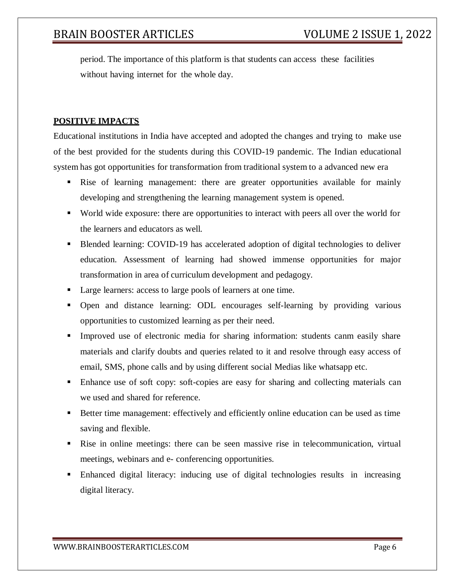period. The importance of this platform is that students can access these facilities without having internet for the whole day.

#### **POSITIVE IMPACTS**

Educational institutions in India have accepted and adopted the changes and trying to make use of the best provided for the students during this COVID-19 pandemic. The Indian educational system has got opportunities for transformation from traditional system to a advanced new era

- Rise of learning management: there are greater opportunities available for mainly developing and strengthening the learning management system is opened.
- World wide exposure: there are opportunities to interact with peers all over the world for the learners and educators as well.
- Blended learning: COVID-19 has accelerated adoption of digital technologies to deliver education. Assessment of learning had showed immense opportunities for major transformation in area of curriculum development and pedagogy.
- Large learners: access to large pools of learners at one time.
- Open and distance learning: ODL encourages self-learning by providing various opportunities to customized learning as per their need.
- Improved use of electronic media for sharing information: students canm easily share materials and clarify doubts and queries related to it and resolve through easy access of email, SMS, phone calls and by using different social Medias like whatsapp etc.
- Enhance use of soft copy: soft-copies are easy for sharing and collecting materials can we used and shared for reference.
- Better time management: effectively and efficiently online education can be used as time saving and flexible.
- Rise in online meetings: there can be seen massive rise in telecommunication, virtual meetings, webinars and e- conferencing opportunities.
- Enhanced digital literacy: inducing use of digital technologies results in increasing digital literacy.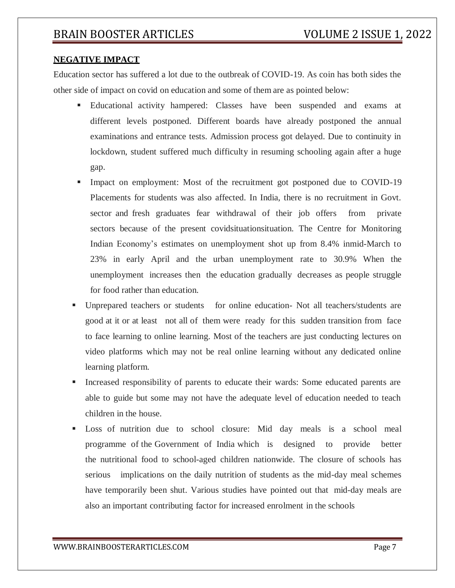#### **NEGATIVE IMPACT**

Education sector has suffered a lot due to the outbreak of COVID-19. As coin has both sides the other side of impact on covid on education and some of them are as pointed below:

- Educational activity hampered: Classes have been suspended and exams at different levels postponed. Different boards have already postponed the annual examinations and entrance tests. Admission process got delayed. Due to continuity in lockdown, student suffered much difficulty in resuming schooling again after a huge gap.
- Impact on employment: Most of the recruitment got postponed due to COVID-19 Placements for students was also affected. In India, there is no recruitment in Govt. sector and fresh graduates fear withdrawal of their job offers from private sectors because of the present covidsituationsituation. The Centre for Monitoring Indian Economy's estimates on unemployment shot up from 8.4% inmid-March to 23% in early April and the urban unemployment rate to 30.9% When the unemployment increases then the education gradually decreases as people struggle for food rather than education.
- Unprepared teachers or students for online education- Not all teachers/students are good at it or at least not all of them were ready for this sudden transition from face to face learning to online learning. Most of the teachers are just conducting lectures on video platforms which may not be real online learning without any dedicated online learning platform.
- Increased responsibility of parents to educate their wards: Some educated parents are able to guide but some may not have the adequate level of education needed to teach children in the house.
- Loss of nutrition due to school closure: Mid day meals is a school meal programme of the Government of India which is designed to provide better the nutritional food to school-aged children nationwide. The closure of schools has serious implications on the daily nutrition of students as the mid-day meal schemes have temporarily been shut. Various studies have pointed out that mid-day meals are also an important contributing factor for increased enrolment in the schools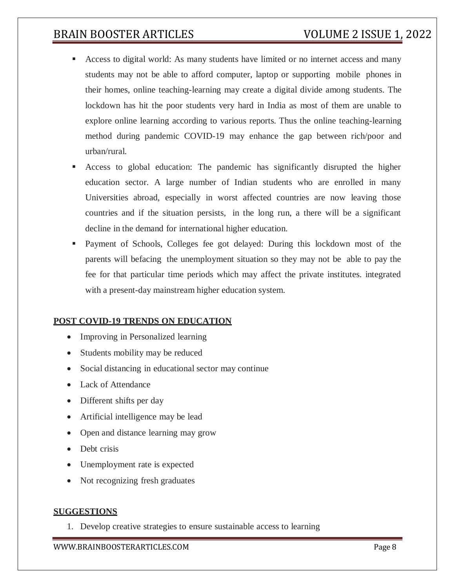- Access to digital world: As many students have limited or no internet access and many students may not be able to afford computer, laptop or supporting mobile phones in their homes, online teaching-learning may create a digital divide among students. The lockdown has hit the poor students very hard in India as most of them are unable to explore online learning according to various reports. Thus the online teaching-learning method during pandemic COVID-19 may enhance the gap between rich/poor and urban/rural.
- Access to global education: The pandemic has significantly disrupted the higher education sector. A large number of Indian students who are enrolled in many Universities abroad, especially in worst affected countries are now leaving those countries and if the situation persists, in the long run, a there will be a significant decline in the demand for international higher education.
- Payment of Schools, Colleges fee got delayed: During this lockdown most of the parents will befacing the unemployment situation so they may not be able to pay the fee for that particular time periods which may affect the private institutes. integrated with a present-day mainstream higher education system.

### **POST COVID-19 TRENDS ON EDUCATION**

- Improving in Personalized learning
- Students mobility may be reduced
- Social distancing in educational sector may continue
- Lack of Attendance
- Different shifts per day
- Artificial intelligence may be lead
- Open and distance learning may grow
- Debt crisis
- Unemployment rate is expected
- Not recognizing fresh graduates

#### **SUGGESTIONS**

1. Develop creative strategies to ensure sustainable access to learning

[WWW.BRAINBOOSTERARTICLES.COM](http://www.brainboosterarticles.com/) enterprise and the state of the page 8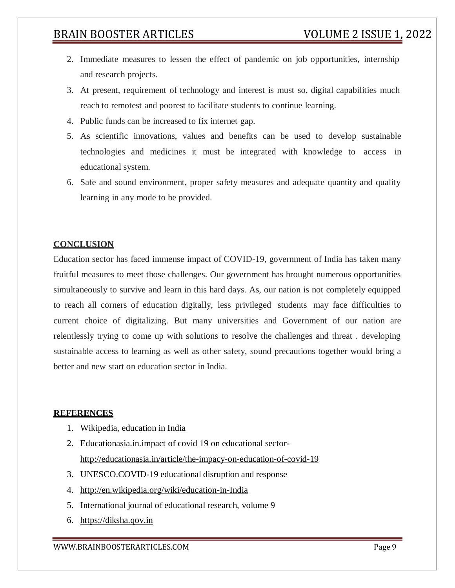- 2. Immediate measures to lessen the effect of pandemic on job opportunities, internship and research projects.
- 3. At present, requirement of technology and interest is must so, digital capabilities much reach to remotest and poorest to facilitate students to continue learning.
- 4. Public funds can be increased to fix internet gap.
- 5. As scientific innovations, values and benefits can be used to develop sustainable technologies and medicines it must be integrated with knowledge to access in educational system.
- 6. Safe and sound environment, proper safety measures and adequate quantity and quality learning in any mode to be provided.

#### **CONCLUSION**

Education sector has faced immense impact of COVID-19, government of India has taken many fruitful measures to meet those challenges. Our government has brought numerous opportunities simultaneously to survive and learn in this hard days. As, our nation is not completely equipped to reach all corners of education digitally, less privileged students may face difficulties to current choice of digitalizing. But many universities and Government of our nation are relentlessly trying to come up with solutions to resolve the challenges and threat . developing sustainable access to learning as well as other safety, sound precautions together would bring a better and new start on education sector in India.

#### **REFERENCES**

- 1. Wikipedia, education in India
- 2. Educationasia.in.impact of covid 19 on educational sector<http://educationasia.in/article/the-impacy-on-education-of-covid-19>
- 3. UNESCO.COVID-19 educational disruption and response
- 4. <http://en.wikipedia.org/wiki/education-in-India>
- 5. International journal of educational research, volume 9
- 6. https://diksha.qov.in